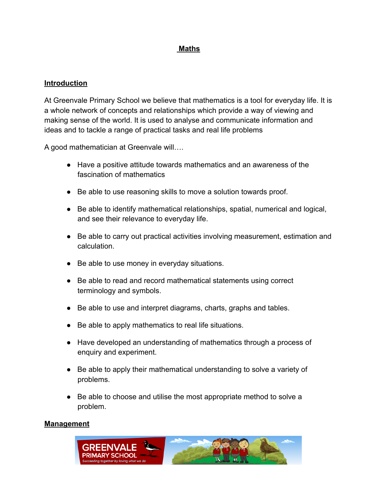# **Maths**

### **Introduction**

At Greenvale Primary School we believe that mathematics is a tool for everyday life. It is a whole network of concepts and relationships which provide a way of viewing and making sense of the world. It is used to analyse and communicate information and ideas and to tackle a range of practical tasks and real life problems

A good mathematician at Greenvale will….

- Have a positive attitude towards mathematics and an awareness of the fascination of mathematics
- Be able to use reasoning skills to move a solution towards proof.
- Be able to identify mathematical relationships, spatial, numerical and logical, and see their relevance to everyday life.
- Be able to carry out practical activities involving measurement, estimation and calculation.
- Be able to use money in everyday situations.
- Be able to read and record mathematical statements using correct terminology and symbols.
- Be able to use and interpret diagrams, charts, graphs and tables.
- Be able to apply mathematics to real life situations.
- Have developed an understanding of mathematics through a process of enquiry and experiment.
- Be able to apply their mathematical understanding to solve a variety of problems.
- Be able to choose and utilise the most appropriate method to solve a problem.

#### **Management**

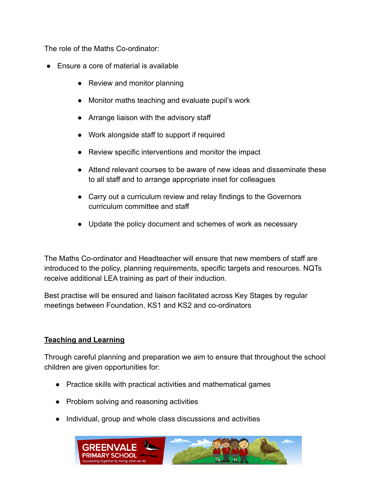The role of the Maths Co-ordinator:

- Ensure a core of material is available
	- Review and monitor planning
	- Monitor maths teaching and evaluate pupil's work
	- Arrange liaison with the advisory staff
	- Work alongside staff to support if required
	- Review specific interventions and monitor the impact
	- Attend relevant courses to be aware of new ideas and disseminate these to all staff and to arrange appropriate inset for colleagues
	- Carry out a curriculum review and relay findings to the Governors curriculum committee and staff
	- Update the policy document and schemes of work as necessary

The Maths Co-ordinator and Headteacher will ensure that new members of staff are introduced to the policy, planning requirements, specific targets and resources. NQTs receive additional LEA training as part of their induction.

Best practise will be ensured and liaison facilitated across Key Stages by regular meetings between Foundation, KS1 and KS2 and co-ordinators

## **Teaching and Learning**

Through careful planning and preparation we aim to ensure that throughout the school children are given opportunities for:

- Practice skills with practical activities and mathematical games
- Problem solving and reasoning activities
- Individual, group and whole class discussions and activities

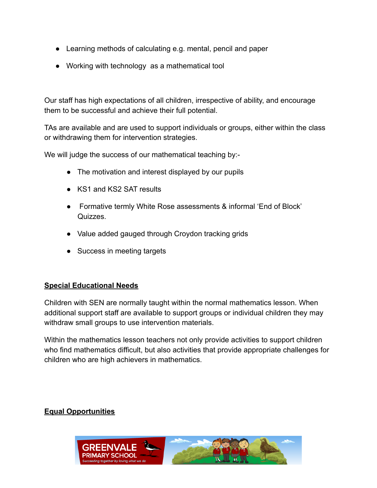- Learning methods of calculating e.g. mental, pencil and paper
- Working with technology as a mathematical tool

Our staff has high expectations of all children, irrespective of ability, and encourage them to be successful and achieve their full potential.

TAs are available and are used to support individuals or groups, either within the class or withdrawing them for intervention strategies.

We will judge the success of our mathematical teaching by:-

- The motivation and interest displayed by our pupils
- KS1 and KS2 SAT results
- Formative termly White Rose assessments & informal 'End of Block' Quizzes.
- Value added gauged through Croydon tracking grids
- Success in meeting targets

### **Special Educational Needs**

Children with SEN are normally taught within the normal mathematics lesson. When additional support staff are available to support groups or individual children they may withdraw small groups to use intervention materials.

Within the mathematics lesson teachers not only provide activities to support children who find mathematics difficult, but also activities that provide appropriate challenges for children who are high achievers in mathematics.

## **Equal Opportunities**

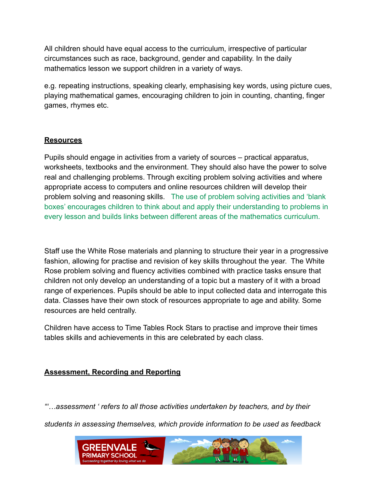All children should have equal access to the curriculum, irrespective of particular circumstances such as race, background, gender and capability. In the daily mathematics lesson we support children in a variety of ways.

e.g. repeating instructions, speaking clearly, emphasising key words, using picture cues, playing mathematical games, encouraging children to join in counting, chanting, finger games, rhymes etc.

### **Resources**

Pupils should engage in activities from a variety of sources – practical apparatus, worksheets, textbooks and the environment. They should also have the power to solve real and challenging problems. Through exciting problem solving activities and where appropriate access to computers and online resources children will develop their problem solving and reasoning skills. The use of problem solving activities and 'blank boxes' encourages children to think about and apply their understanding to problems in every lesson and builds links between different areas of the mathematics curriculum.

Staff use the White Rose materials and planning to structure their year in a progressive fashion, allowing for practise and revision of key skills throughout the year. The White Rose problem solving and fluency activities combined with practice tasks ensure that children not only develop an understanding of a topic but a mastery of it with a broad range of experiences. Pupils should be able to input collected data and interrogate this data. Classes have their own stock of resources appropriate to age and ability. Some resources are held centrally.

Children have access to Time Tables Rock Stars to practise and improve their times tables skills and achievements in this are celebrated by each class.

## **Assessment, Recording and Reporting**

*"'…assessment ' refers to all those activities undertaken by teachers, and by their students in assessing themselves, which provide information to be used as feedback*

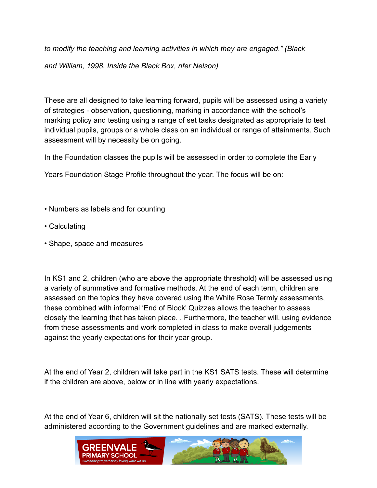*to modify the teaching and learning activities in which they are engaged." (Black and William, 1998, Inside the Black Box, nfer Nelson)*

These are all designed to take learning forward, pupils will be assessed using a variety of strategies - observation, questioning, marking in accordance with the school's marking policy and testing using a range of set tasks designated as appropriate to test individual pupils, groups or a whole class on an individual or range of attainments. Such assessment will by necessity be on going.

In the Foundation classes the pupils will be assessed in order to complete the Early

Years Foundation Stage Profile throughout the year. The focus will be on:

- Numbers as labels and for counting
- Calculating
- Shape, space and measures

In KS1 and 2, children (who are above the appropriate threshold) will be assessed using a variety of summative and formative methods. At the end of each term, children are assessed on the topics they have covered using the White Rose Termly assessments, these combined with informal 'End of Block' Quizzes allows the teacher to assess closely the learning that has taken place. . Furthermore, the teacher will, using evidence from these assessments and work completed in class to make overall judgements against the yearly expectations for their year group.

At the end of Year 2, children will take part in the KS1 SATS tests. These will determine if the children are above, below or in line with yearly expectations.

At the end of Year 6, children will sit the nationally set tests (SATS). These tests will be administered according to the Government guidelines and are marked externally.

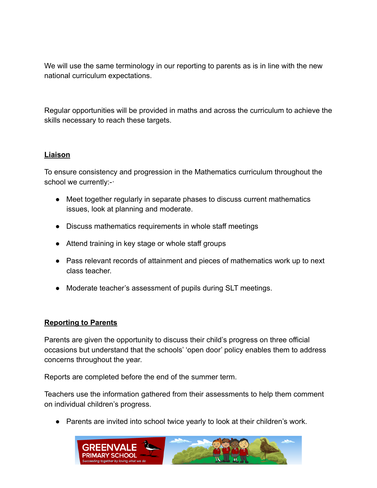We will use the same terminology in our reporting to parents as is in line with the new national curriculum expectations.

Regular opportunities will be provided in maths and across the curriculum to achieve the skills necessary to reach these targets.

### **Liaison**

To ensure consistency and progression in the Mathematics curriculum throughout the school we currently:-·

- Meet together regularly in separate phases to discuss current mathematics issues, look at planning and moderate.
- Discuss mathematics requirements in whole staff meetings
- Attend training in key stage or whole staff groups
- Pass relevant records of attainment and pieces of mathematics work up to next class teacher.
- Moderate teacher's assessment of pupils during SLT meetings.

### **Reporting to Parents**

Parents are given the opportunity to discuss their child's progress on three official occasions but understand that the schools' 'open door' policy enables them to address concerns throughout the year.

Reports are completed before the end of the summer term.

Teachers use the information gathered from their assessments to help them comment on individual children's progress.

● Parents are invited into school twice yearly to look at their children's work.